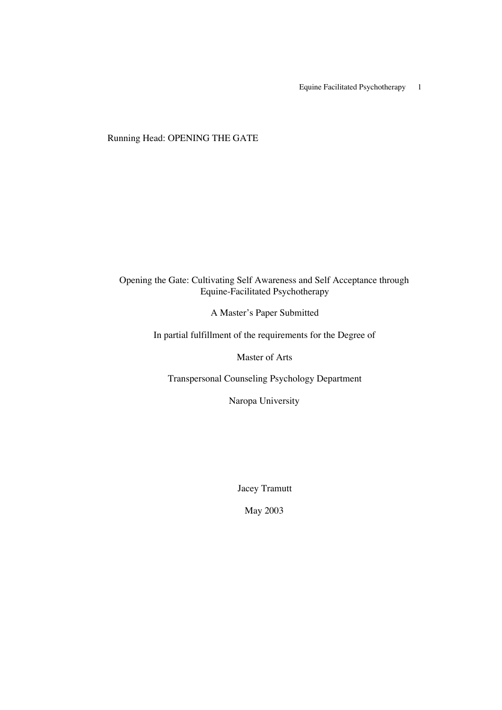Equine Facilitated Psychotherapy 1

Running Head: OPENING THE GATE

# Opening the Gate: Cultivating Self Awareness and Self Acceptance through Equine-Facilitated Psychotherapy

A Master's Paper Submitted

In partial fulfillment of the requirements for the Degree of

Master of Arts

Transpersonal Counseling Psychology Department

Naropa University

Jacey Tramutt

May 2003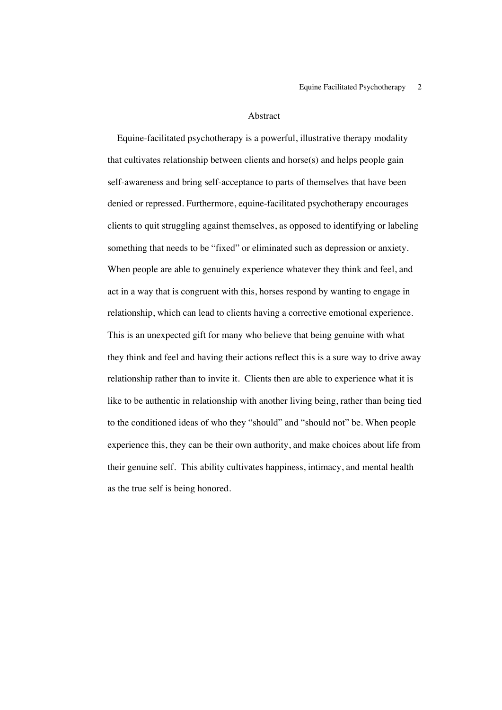#### Abstract

 Equine-facilitated psychotherapy is a powerful, illustrative therapy modality that cultivates relationship between clients and horse(s) and helps people gain self-awareness and bring self-acceptance to parts of themselves that have been denied or repressed. Furthermore, equine-facilitated psychotherapy encourages clients to quit struggling against themselves, as opposed to identifying or labeling something that needs to be "fixed" or eliminated such as depression or anxiety. When people are able to genuinely experience whatever they think and feel, and act in a way that is congruent with this, horses respond by wanting to engage in relationship, which can lead to clients having a corrective emotional experience. This is an unexpected gift for many who believe that being genuine with what they think and feel and having their actions reflect this is a sure way to drive away relationship rather than to invite it. Clients then are able to experience what it is like to be authentic in relationship with another living being, rather than being tied to the conditioned ideas of who they "should" and "should not" be. When people experience this, they can be their own authority, and make choices about life from their genuine self. This ability cultivates happiness, intimacy, and mental health as the true self is being honored.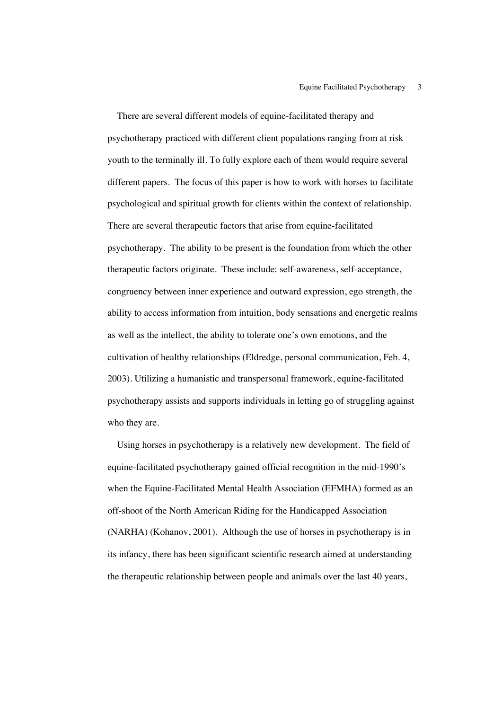There are several different models of equine-facilitated therapy and psychotherapy practiced with different client populations ranging from at risk youth to the terminally ill. To fully explore each of them would require several different papers. The focus of this paper is how to work with horses to facilitate psychological and spiritual growth for clients within the context of relationship. There are several therapeutic factors that arise from equine-facilitated psychotherapy. The ability to be present is the foundation from which the other therapeutic factors originate. These include: self-awareness, self-acceptance, congruency between inner experience and outward expression, ego strength, the ability to access information from intuition, body sensations and energetic realms as well as the intellect, the ability to tolerate one's own emotions, and the cultivation of healthy relationships (Eldredge, personal communication, Feb. 4, 2003). Utilizing a humanistic and transpersonal framework, equine-facilitated psychotherapy assists and supports individuals in letting go of struggling against who they are.

 Using horses in psychotherapy is a relatively new development. The field of equine-facilitated psychotherapy gained official recognition in the mid-1990's when the Equine-Facilitated Mental Health Association (EFMHA) formed as an off-shoot of the North American Riding for the Handicapped Association (NARHA) (Kohanov, 2001). Although the use of horses in psychotherapy is in its infancy, there has been significant scientific research aimed at understanding the therapeutic relationship between people and animals over the last 40 years,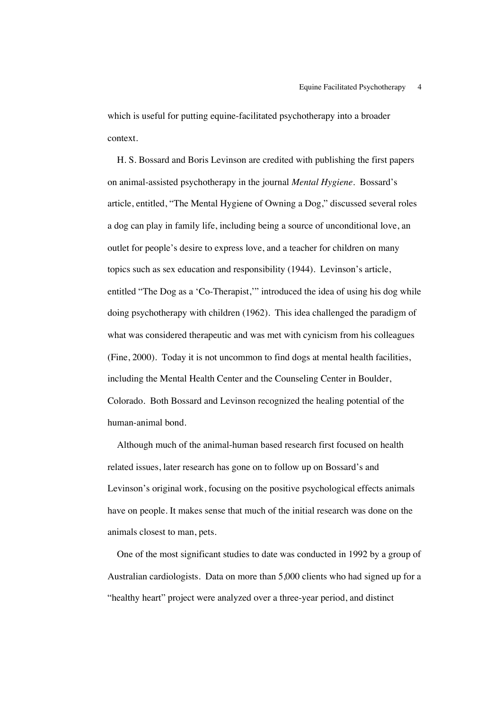which is useful for putting equine-facilitated psychotherapy into a broader context.

 H. S. Bossard and Boris Levinson are credited with publishing the first papers on animal-assisted psychotherapy in the journal *Mental Hygiene.* Bossard's article, entitled, "The Mental Hygiene of Owning a Dog," discussed several roles a dog can play in family life, including being a source of unconditional love, an outlet for people's desire to express love, and a teacher for children on many topics such as sex education and responsibility (1944). Levinson's article, entitled "The Dog as a 'Co-Therapist,'" introduced the idea of using his dog while doing psychotherapy with children (1962). This idea challenged the paradigm of what was considered therapeutic and was met with cynicism from his colleagues (Fine, 2000). Today it is not uncommon to find dogs at mental health facilities, including the Mental Health Center and the Counseling Center in Boulder, Colorado. Both Bossard and Levinson recognized the healing potential of the human-animal bond.

 Although much of the animal-human based research first focused on health related issues, later research has gone on to follow up on Bossard's and Levinson's original work, focusing on the positive psychological effects animals have on people. It makes sense that much of the initial research was done on the animals closest to man, pets.

 One of the most significant studies to date was conducted in 1992 by a group of Australian cardiologists. Data on more than 5,000 clients who had signed up for a "healthy heart" project were analyzed over a three-year period, and distinct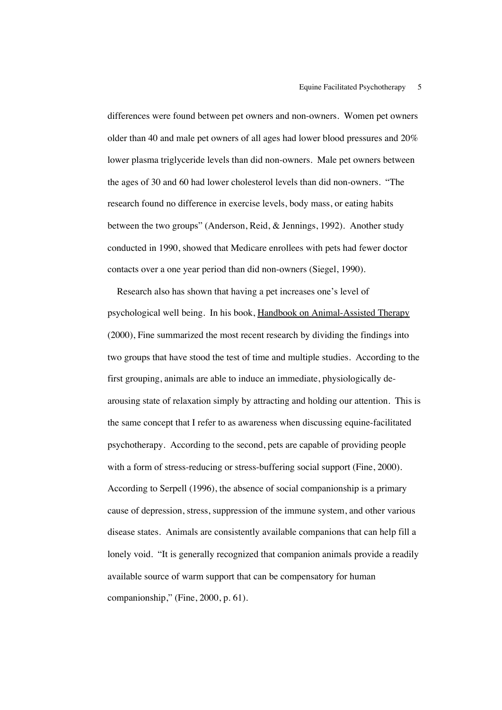differences were found between pet owners and non-owners. Women pet owners older than 40 and male pet owners of all ages had lower blood pressures and 20% lower plasma triglyceride levels than did non-owners. Male pet owners between the ages of 30 and 60 had lower cholesterol levels than did non-owners. "The research found no difference in exercise levels, body mass, or eating habits between the two groups" (Anderson, Reid, & Jennings, 1992). Another study conducted in 1990, showed that Medicare enrollees with pets had fewer doctor contacts over a one year period than did non-owners (Siegel, 1990).

 Research also has shown that having a pet increases one's level of psychological well being. In his book, Handbook on Animal-Assisted Therapy (2000), Fine summarized the most recent research by dividing the findings into two groups that have stood the test of time and multiple studies. According to the first grouping, animals are able to induce an immediate, physiologically dearousing state of relaxation simply by attracting and holding our attention. This is the same concept that I refer to as awareness when discussing equine-facilitated psychotherapy. According to the second, pets are capable of providing people with a form of stress-reducing or stress-buffering social support (Fine, 2000). According to Serpell (1996), the absence of social companionship is a primary cause of depression, stress, suppression of the immune system, and other various disease states. Animals are consistently available companions that can help fill a lonely void. "It is generally recognized that companion animals provide a readily available source of warm support that can be compensatory for human companionship," (Fine, 2000, p. 61).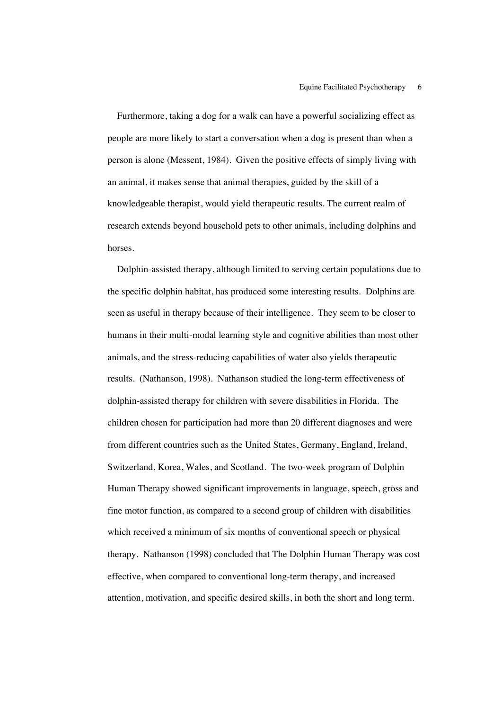Furthermore, taking a dog for a walk can have a powerful socializing effect as people are more likely to start a conversation when a dog is present than when a person is alone (Messent, 1984). Given the positive effects of simply living with an animal, it makes sense that animal therapies, guided by the skill of a knowledgeable therapist, would yield therapeutic results. The current realm of research extends beyond household pets to other animals, including dolphins and horses.

 Dolphin-assisted therapy, although limited to serving certain populations due to the specific dolphin habitat, has produced some interesting results. Dolphins are seen as useful in therapy because of their intelligence. They seem to be closer to humans in their multi-modal learning style and cognitive abilities than most other animals, and the stress-reducing capabilities of water also yields therapeutic results. (Nathanson, 1998). Nathanson studied the long-term effectiveness of dolphin-assisted therapy for children with severe disabilities in Florida. The children chosen for participation had more than 20 different diagnoses and were from different countries such as the United States, Germany, England, Ireland, Switzerland, Korea, Wales, and Scotland. The two-week program of Dolphin Human Therapy showed significant improvements in language, speech, gross and fine motor function, as compared to a second group of children with disabilities which received a minimum of six months of conventional speech or physical therapy. Nathanson (1998) concluded that The Dolphin Human Therapy was cost effective, when compared to conventional long-term therapy, and increased attention, motivation, and specific desired skills, in both the short and long term.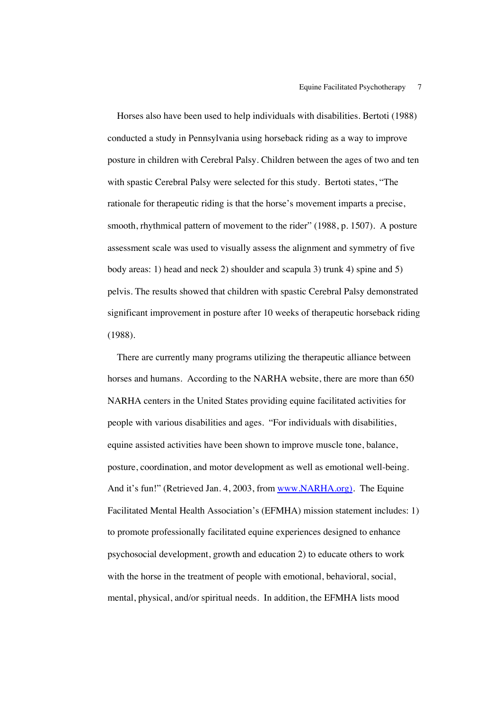Horses also have been used to help individuals with disabilities. Bertoti (1988) conducted a study in Pennsylvania using horseback riding as a way to improve posture in children with Cerebral Palsy. Children between the ages of two and ten with spastic Cerebral Palsy were selected for this study. Bertoti states, "The rationale for therapeutic riding is that the horse's movement imparts a precise, smooth, rhythmical pattern of movement to the rider" (1988, p. 1507). A posture assessment scale was used to visually assess the alignment and symmetry of five body areas: 1) head and neck 2) shoulder and scapula 3) trunk 4) spine and 5) pelvis. The results showed that children with spastic Cerebral Palsy demonstrated significant improvement in posture after 10 weeks of therapeutic horseback riding (1988).

 There are currently many programs utilizing the therapeutic alliance between horses and humans. According to the NARHA website, there are more than 650 NARHA centers in the United States providing equine facilitated activities for people with various disabilities and ages. "For individuals with disabilities, equine assisted activities have been shown to improve muscle tone, balance, posture, coordination, and motor development as well as emotional well-being. And it's fun!" (Retrieved Jan. 4, 2003, from www.NARHA.org). The Equine Facilitated Mental Health Association's (EFMHA) mission statement includes: 1) to promote professionally facilitated equine experiences designed to enhance psychosocial development, growth and education 2) to educate others to work with the horse in the treatment of people with emotional, behavioral, social, mental, physical, and/or spiritual needs. In addition, the EFMHA lists mood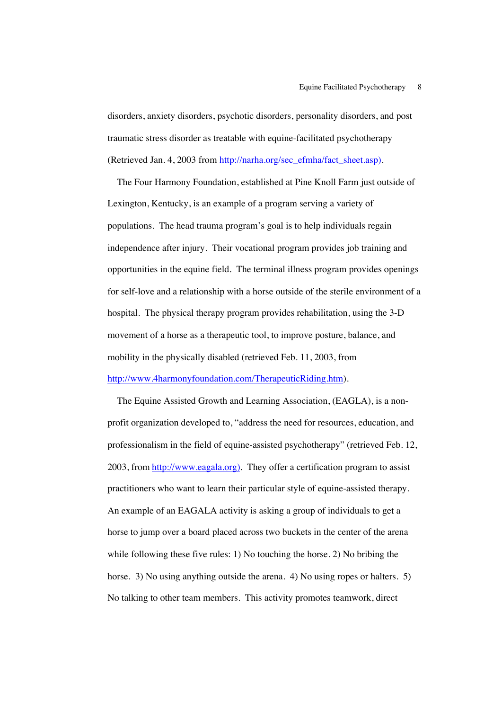disorders, anxiety disorders, psychotic disorders, personality disorders, and post traumatic stress disorder as treatable with equine-facilitated psychotherapy (Retrieved Jan. 4, 2003 from http://narha.org/sec\_efmha/fact\_sheet.asp).

 The Four Harmony Foundation, established at Pine Knoll Farm just outside of Lexington, Kentucky, is an example of a program serving a variety of populations. The head trauma program's goal is to help individuals regain independence after injury. Their vocational program provides job training and opportunities in the equine field. The terminal illness program provides openings for self-love and a relationship with a horse outside of the sterile environment of a hospital. The physical therapy program provides rehabilitation, using the 3-D movement of a horse as a therapeutic tool, to improve posture, balance, and mobility in the physically disabled (retrieved Feb. 11, 2003, from http://www.4harmonyfoundation.com/TherapeuticRiding.htm).

 The Equine Assisted Growth and Learning Association, (EAGLA), is a nonprofit organization developed to, "address the need for resources, education, and professionalism in the field of equine-assisted psychotherapy" (retrieved Feb. 12, 2003, from http://www.eagala.org). They offer a certification program to assist practitioners who want to learn their particular style of equine-assisted therapy. An example of an EAGALA activity is asking a group of individuals to get a horse to jump over a board placed across two buckets in the center of the arena while following these five rules: 1) No touching the horse. 2) No bribing the horse. 3) No using anything outside the arena. 4) No using ropes or halters. 5) No talking to other team members. This activity promotes teamwork, direct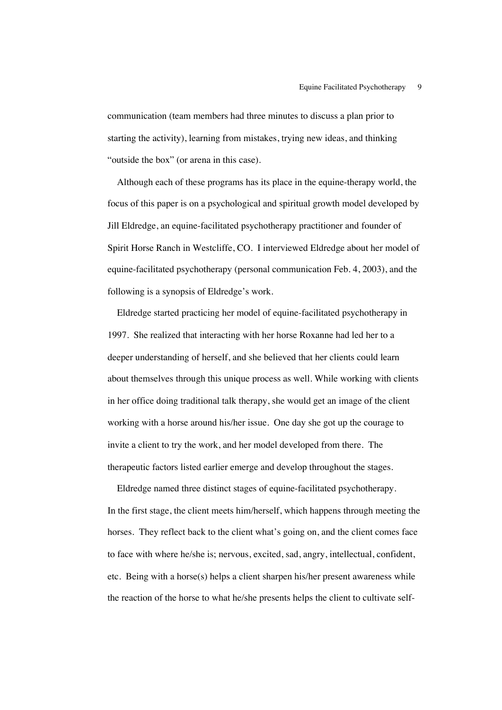communication (team members had three minutes to discuss a plan prior to starting the activity), learning from mistakes, trying new ideas, and thinking "outside the box" (or arena in this case).

 Although each of these programs has its place in the equine-therapy world, the focus of this paper is on a psychological and spiritual growth model developed by Jill Eldredge, an equine-facilitated psychotherapy practitioner and founder of Spirit Horse Ranch in Westcliffe, CO. I interviewed Eldredge about her model of equine-facilitated psychotherapy (personal communication Feb. 4, 2003), and the following is a synopsis of Eldredge's work.

 Eldredge started practicing her model of equine-facilitated psychotherapy in 1997. She realized that interacting with her horse Roxanne had led her to a deeper understanding of herself, and she believed that her clients could learn about themselves through this unique process as well. While working with clients in her office doing traditional talk therapy, she would get an image of the client working with a horse around his/her issue. One day she got up the courage to invite a client to try the work, and her model developed from there. The therapeutic factors listed earlier emerge and develop throughout the stages.

 Eldredge named three distinct stages of equine-facilitated psychotherapy. In the first stage, the client meets him/herself, which happens through meeting the horses. They reflect back to the client what's going on, and the client comes face to face with where he/she is; nervous, excited, sad, angry, intellectual, confident, etc. Being with a horse(s) helps a client sharpen his/her present awareness while the reaction of the horse to what he/she presents helps the client to cultivate self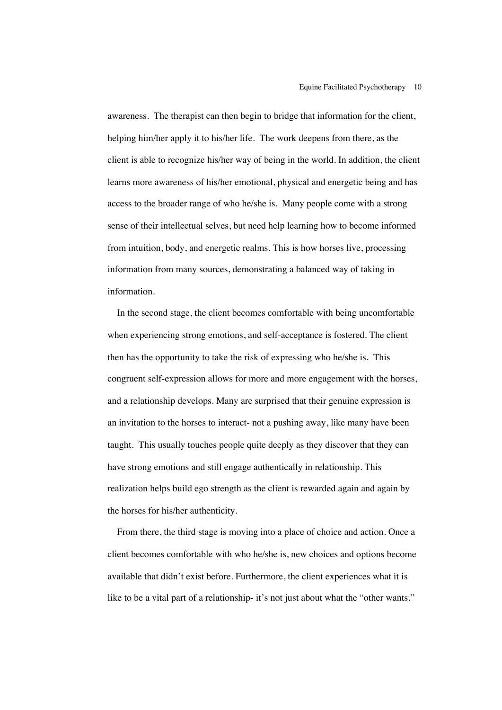awareness. The therapist can then begin to bridge that information for the client, helping him/her apply it to his/her life. The work deepens from there, as the client is able to recognize his/her way of being in the world. In addition, the client learns more awareness of his/her emotional, physical and energetic being and has access to the broader range of who he/she is.Many people come with a strong sense of their intellectual selves, but need help learning how to become informed from intuition, body, and energetic realms. This is how horses live, processing information from many sources, demonstrating a balanced way of taking in information.

 In the second stage, the client becomes comfortable with being uncomfortable when experiencing strong emotions, and self-acceptance is fostered. The client then has the opportunity to take the risk of expressing who he/she is. This congruent self-expression allows for more and more engagement with the horses, and a relationship develops. Many are surprised that their genuine expression is an invitation to the horses to interact- not a pushing away, like many have been taught. This usually touches people quite deeply as they discover that they can have strong emotions and still engage authentically in relationship. This realization helps build ego strength as the client is rewarded again and again by the horses for his/her authenticity.

 From there, the third stage is moving into a place of choice and action. Once a client becomes comfortable with who he/she is, new choices and options become available that didn't exist before. Furthermore, the client experiences what it is like to be a vital part of a relationship- it's not just about what the "other wants."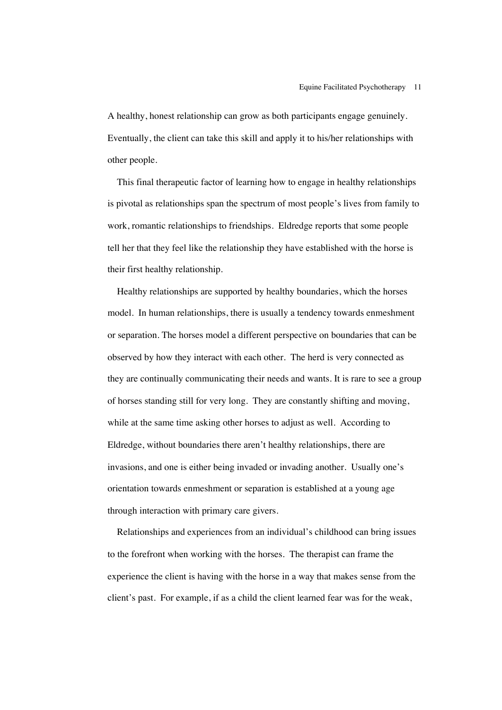A healthy, honest relationship can grow as both participants engage genuinely. Eventually, the client can take this skill and apply it to his/her relationships with other people.

 This final therapeutic factor of learning how to engage in healthy relationships is pivotal as relationships span the spectrum of most people's lives from family to work, romantic relationships to friendships. Eldredge reports that some people tell her that they feel like the relationship they have established with the horse is their first healthy relationship.

 Healthy relationships are supported by healthy boundaries, which the horses model. In human relationships, there is usually a tendency towards enmeshment or separation. The horses model a different perspective on boundaries that can be observed by how they interact with each other. The herd is very connected as they are continually communicating their needs and wants. It is rare to see a group of horses standing still for very long. They are constantly shifting and moving, while at the same time asking other horses to adjust as well. According to Eldredge, without boundaries there aren't healthy relationships, there are invasions, and one is either being invaded or invading another*.* Usually one's orientation towards enmeshment or separation is established at a young age through interaction with primary care givers.

 Relationships and experiences from an individual's childhood can bring issues to the forefront when working with the horses. The therapist can frame the experience the client is having with the horse in a way that makes sense from the client's past. For example, if as a child the client learned fear was for the weak,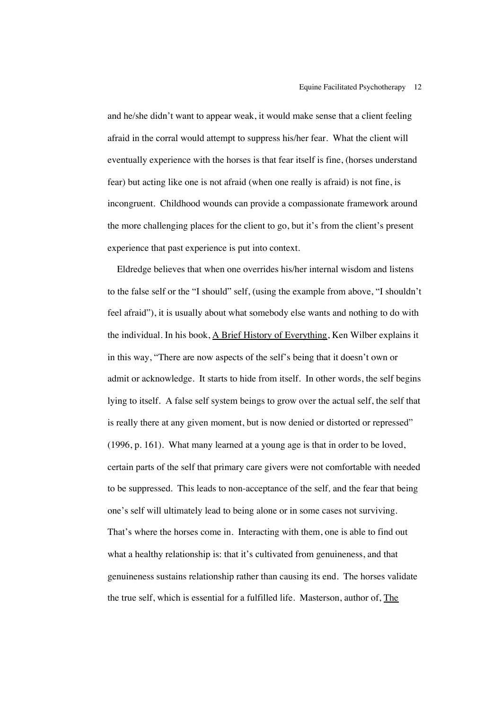and he/she didn't want to appear weak, it would make sense that a client feeling afraid in the corral would attempt to suppress his/her fear. What the client will eventually experience with the horses is that fear itself is fine, (horses understand fear) but acting like one is not afraid (when one really is afraid) is not fine, is incongruent. Childhood wounds can provide a compassionate framework around the more challenging places for the client to go, but it's from the client's present experience that past experience is put into context.

 Eldredge believes that when one overrides his/her internal wisdom and listens to the false self or the "I should" self, (using the example from above, "I shouldn't feel afraid"), it is usually about what somebody else wants and nothing to do with the individual. In his book, A Brief History of Everything, Ken Wilber explains it in this way, "There are now aspects of the self's being that it doesn't own or admit or acknowledge. It starts to hide from itself. In other words, the self begins lying to itself. A false self system beings to grow over the actual self, the self that is really there at any given moment, but is now denied or distorted or repressed" (1996, p. 161). What many learned at a young age is that in order to be loved, certain parts of the self that primary care givers were not comfortable with needed to be suppressed*.* This leads to non-acceptance of the self*,* and the fear that being one's self will ultimately lead to being alone or in some cases not surviving. That's where the horses come in. Interacting with them, one is able to find out what a healthy relationship is: that it's cultivated from genuineness, and that genuineness sustains relationship rather than causing its end. The horses validate the true self, which is essential for a fulfilled life. Masterson, author of, The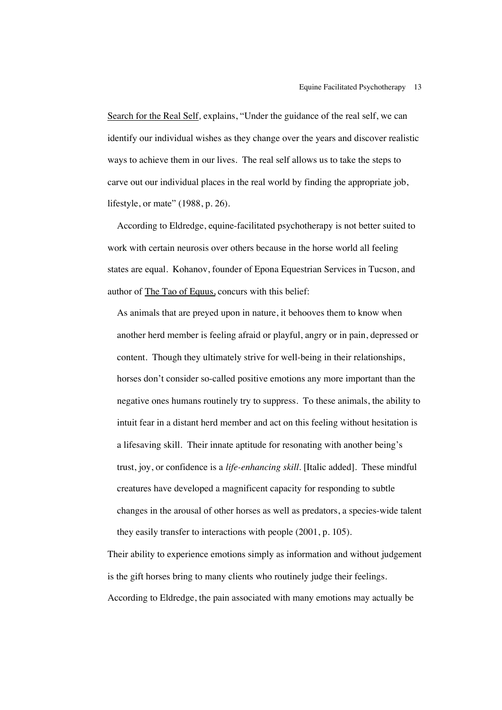Search for the Real Self*,* explains, "Under the guidance of the real self, we can identify our individual wishes as they change over the years and discover realistic ways to achieve them in our lives. The real self allows us to take the steps to carve out our individual places in the real world by finding the appropriate job, lifestyle, or mate" (1988, p. 26).

 According to Eldredge, equine-facilitated psychotherapy is not better suited to work with certain neurosis over others because in the horse world all feeling states are equal. Kohanov, founder of Epona Equestrian Services in Tucson, and author of The Tao of Equus, concurs with this belief:

As animals that are preyed upon in nature, it behooves them to know when another herd member is feeling afraid or playful, angry or in pain, depressed or content. Though they ultimately strive for well-being in their relationships, horses don't consider so-called positive emotions any more important than the negative ones humans routinely try to suppress. To these animals, the ability to intuit fear in a distant herd member and act on this feeling without hesitation is a lifesaving skill. Their innate aptitude for resonating with another being's trust, joy, or confidence is a *life-enhancing skill*. [Italic added]. These mindful creatures have developed a magnificent capacity for responding to subtle changes in the arousal of other horses as well as predators, a species-wide talent they easily transfer to interactions with people (2001, p. 105).

Their ability to experience emotions simply as information and without judgement is the gift horses bring to many clients who routinely judge their feelings. According to Eldredge, the pain associated with many emotions may actually be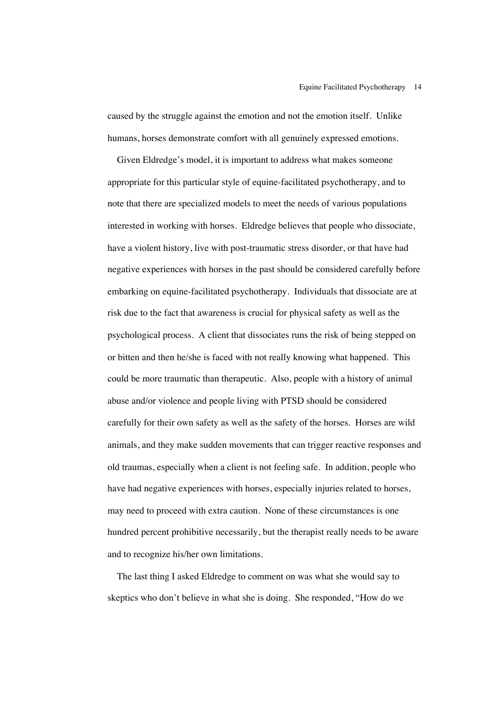caused by the struggle against the emotion and not the emotion itself. Unlike humans, horses demonstrate comfort with all genuinely expressed emotions.

 Given Eldredge's model, it is important to address what makes someone appropriate for this particular style of equine-facilitated psychotherapy, and to note that there are specialized models to meet the needs of various populations interested in working with horses. Eldredge believes that people who dissociate, have a violent history, live with post-traumatic stress disorder, or that have had negative experiences with horses in the past should be considered carefully before embarking on equine-facilitated psychotherapy. Individuals that dissociate are at risk due to the fact that awareness is crucial for physical safety as well as the psychological process. A client that dissociates runs the risk of being stepped on or bitten and then he/she is faced with not really knowing what happened. This could be more traumatic than therapeutic. Also, people with a history of animal abuse and/or violence and people living with PTSD should be considered carefully for their own safety as well as the safety of the horses. Horses are wild animals, and they make sudden movements that can trigger reactive responses and old traumas, especially when a client is not feeling safe. In addition, people who have had negative experiences with horses, especially injuries related to horses, may need to proceed with extra caution. None of these circumstances is one hundred percent prohibitive necessarily, but the therapist really needs to be aware and to recognize his/her own limitations.

 The last thing I asked Eldredge to comment on was what she would say to skeptics who don't believe in what she is doing. She responded, "How do we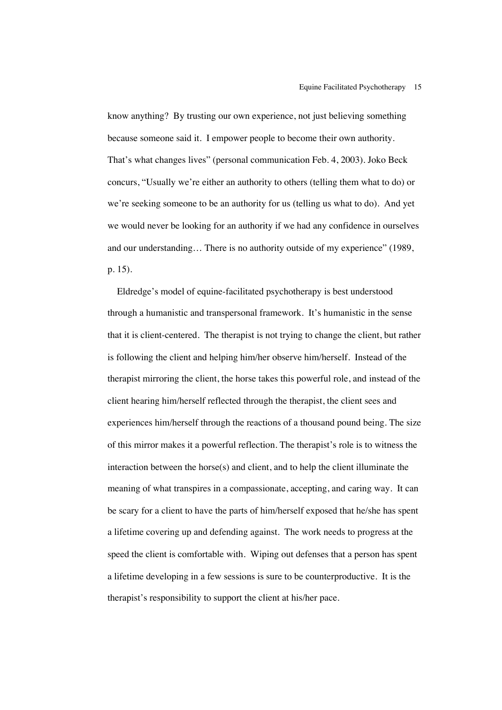know anything? By trusting our own experience, not just believing something because someone said it. I empower people to become their own authority. That's what changes lives" (personal communication Feb. 4, 2003). Joko Beck concurs, "Usually we're either an authority to others (telling them what to do) or we're seeking someone to be an authority for us (telling us what to do). And yet we would never be looking for an authority if we had any confidence in ourselves and our understanding… There is no authority outside of my experience" (1989, p. 15).

 Eldredge's model of equine-facilitated psychotherapy is best understood through a humanistic and transpersonal framework. It's humanistic in the sense that it is client-centered. The therapist is not trying to change the client, but rather is following the client and helping him/her observe him/herself. Instead of the therapist mirroring the client, the horse takes this powerful role, and instead of the client hearing him/herself reflected through the therapist, the client sees and experiences him/herself through the reactions of a thousand pound being. The size of this mirror makes it a powerful reflection. The therapist's role is to witness the interaction between the horse(s) and client, and to help the client illuminate the meaning of what transpires in a compassionate, accepting, and caring way. It can be scary for a client to have the parts of him/herself exposed that he/she has spent a lifetime covering up and defending against. The work needs to progress at the speed the client is comfortable with. Wiping out defenses that a person has spent a lifetime developing in a few sessions is sure to be counterproductive. It is the therapist's responsibility to support the client at his/her pace.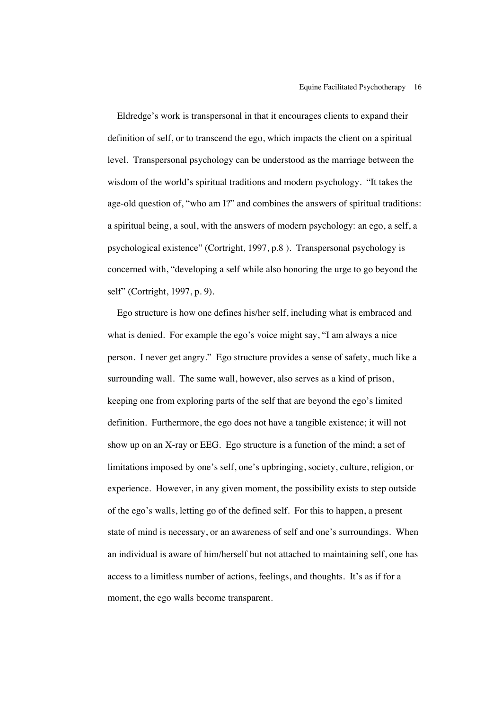Eldredge's work is transpersonal in that it encourages clients to expand their definition of self, or to transcend the ego, which impacts the client on a spiritual level. Transpersonal psychology can be understood as the marriage between the wisdom of the world's spiritual traditions and modern psychology. "It takes the age-old question of, "who am I?" and combines the answers of spiritual traditions: a spiritual being, a soul, with the answers of modern psychology: an ego, a self, a psychological existence" (Cortright, 1997, p.8 ). Transpersonal psychology is concerned with, "developing a self while also honoring the urge to go beyond the self" (Cortright, 1997, p. 9).

 Ego structure is how one defines his/her self, including what is embraced and what is denied. For example the ego's voice might say, "I am always a nice person. I never get angry." Ego structure provides a sense of safety, much like a surrounding wall. The same wall, however, also serves as a kind of prison, keeping one from exploring parts of the self that are beyond the ego's limited definition. Furthermore, the ego does not have a tangible existence; it will not show up on an X-ray or EEG. Ego structure is a function of the mind; a set of limitations imposed by one's self, one's upbringing, society, culture, religion, or experience. However, in any given moment, the possibility exists to step outside of the ego's walls, letting go of the defined self. For this to happen, a present state of mind is necessary, or an awareness of self and one's surroundings. When an individual is aware of him/herself but not attached to maintaining self, one has access to a limitless number of actions, feelings, and thoughts. It's as if for a moment, the ego walls become transparent.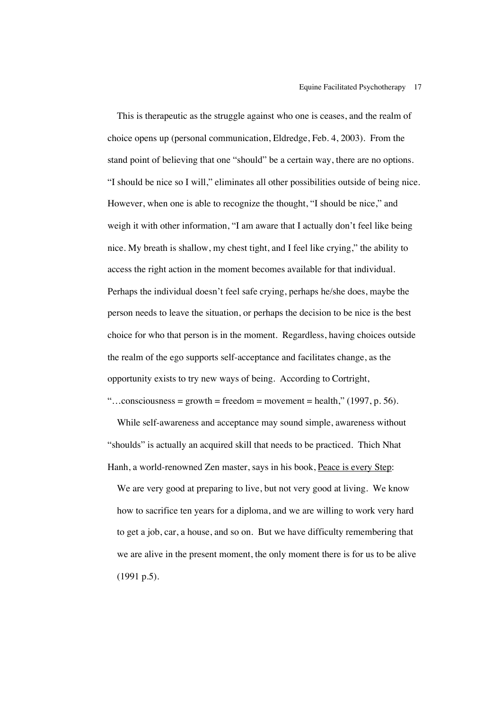This is therapeutic as the struggle against who one is ceases, and the realm of choice opens up (personal communication, Eldredge, Feb. 4, 2003). From the stand point of believing that one "should" be a certain way, there are no options. "I should be nice so I will," eliminates all other possibilities outside of being nice. However, when one is able to recognize the thought, "I should be nice," and weigh it with other information, "I am aware that I actually don't feel like being nice. My breath is shallow, my chest tight, and I feel like crying," the ability to access the right action in the moment becomes available for that individual. Perhaps the individual doesn't feel safe crying, perhaps he/she does, maybe the person needs to leave the situation, or perhaps the decision to be nice is the best choice for who that person is in the moment. Regardless, having choices outside the realm of the ego supports self-acceptance and facilitates change, as the opportunity exists to try new ways of being. According to Cortright,

"...consciousness = growth = freedom = movement = health," (1997, p. 56).

 While self-awareness and acceptance may sound simple, awareness without "shoulds" is actually an acquired skill that needs to be practiced. Thich Nhat Hanh, a world-renowned Zen master, says in his book, Peace is every Step: We are very good at preparing to live, but not very good at living. We know how to sacrifice ten years for a diploma, and we are willing to work very hard to get a job, car, a house, and so on. But we have difficulty remembering that we are alive in the present moment, the only moment there is for us to be alive (1991 p.5).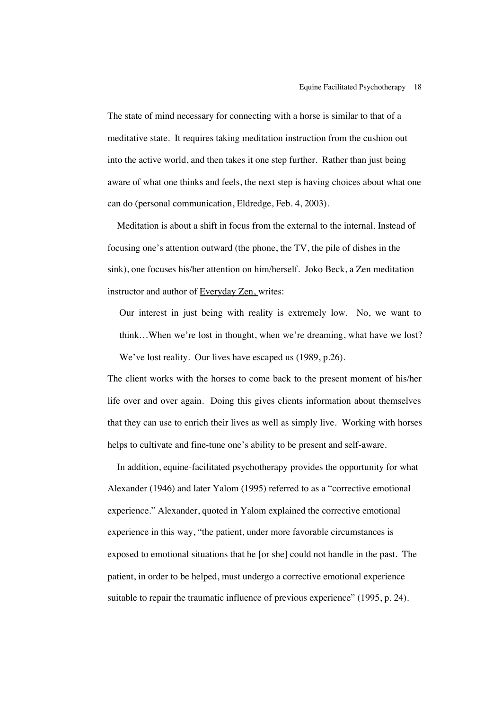The state of mind necessary for connecting with a horse is similar to that of a meditative state. It requires taking meditation instruction from the cushion out into the active world, and then takes it one step further. Rather than just being aware of what one thinks and feels, the next step is having choices about what one can do (personal communication, Eldredge, Feb. 4, 2003).

 Meditation is about a shift in focus from the external to the internal. Instead of focusing one's attention outward (the phone, the TV, the pile of dishes in the sink), one focuses his/her attention on him/herself. Joko Beck, a Zen meditation instructor and author of Everyday Zen, writes:

Our interest in just being with reality is extremely low. No, we want to think…When we're lost in thought, when we're dreaming, what have we lost? We've lost reality. Our lives have escaped us (1989, p.26).

The client works with the horses to come back to the present moment of his/her life over and over again. Doing this gives clients information about themselves that they can use to enrich their lives as well as simply live. Working with horses helps to cultivate and fine-tune one's ability to be present and self-aware.

In addition, equine-facilitated psychotherapy provides the opportunity for what Alexander (1946) and later Yalom (1995) referred to as a "corrective emotional experience." Alexander, quoted in Yalom explained the corrective emotional experience in this way, "the patient, under more favorable circumstances is exposed to emotional situations that he [or she] could not handle in the past. The patient, in order to be helped, must undergo a corrective emotional experience suitable to repair the traumatic influence of previous experience" (1995, p. 24).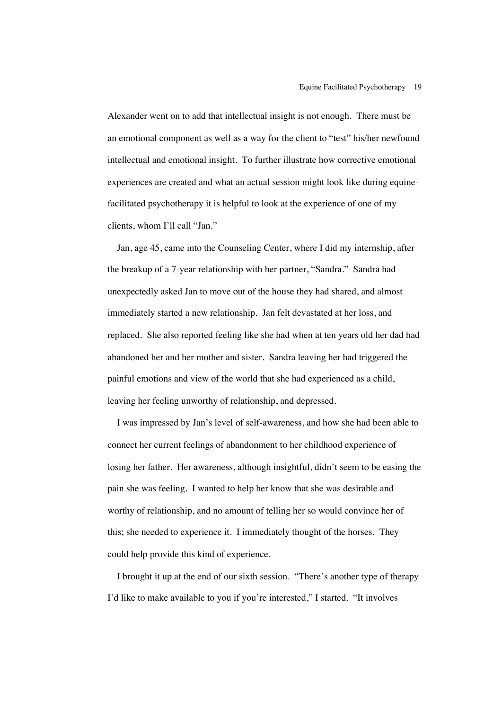Alexander went on to add that intellectual insight is not enough. There must be an emotional component as well as a way for the client to "test" his/her newfound intellectual and emotional insight. To further illustrate how corrective emotional experiences are created and what an actual session might look like during equinefacilitated psychotherapy it is helpful to look at the experience of one of my clients, whom I'll call "Jan."

 Jan, age 45, came into the Counseling Center, where I did my internship, after the breakup of a 7-year relationship with her partner, "Sandra." Sandra had unexpectedly asked Jan to move out of the house they had shared, and almost immediately started a new relationship. Jan felt devastated at her loss, and replaced. She also reported feeling like she had when at ten years old her dad had abandoned her and her mother and sister. Sandra leaving her had triggered the painful emotions and view of the world that she had experienced as a child, leaving her feeling unworthy of relationship, and depressed.

 I was impressed by Jan's level of self-awareness, and how she had been able to connect her current feelings of abandonment to her childhood experience of losing her father. Her awareness, although insightful, didn't seem to be easing the pain she was feeling. I wanted to help her know that she was desirable and worthy of relationship, and no amount of telling her so would convince her of this; she needed to experience it. I immediately thought of the horses. They could help provide this kind of experience.

 I brought it up at the end of our sixth session. "There's another type of therapy I'd like to make available to you if you're interested," I started. "It involves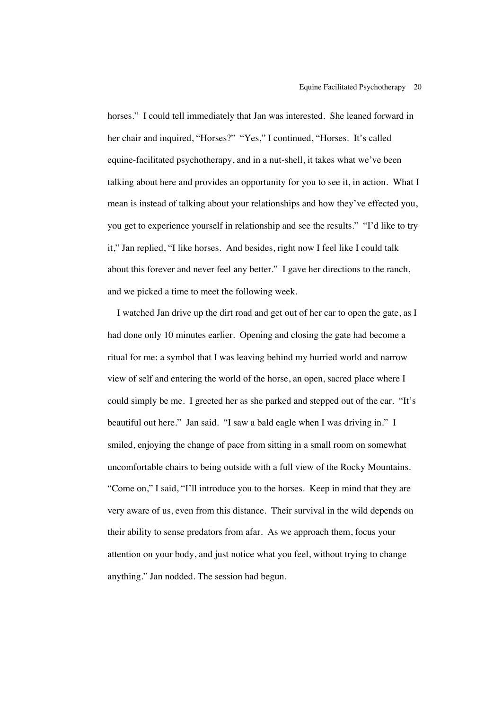horses." I could tell immediately that Jan was interested. She leaned forward in her chair and inquired, "Horses?" "Yes," I continued, "Horses. It's called equine-facilitated psychotherapy, and in a nut-shell, it takes what we've been talking about here and provides an opportunity for you to see it, in action. What I mean is instead of talking about your relationships and how they've effected you, you get to experience yourself in relationship and see the results." "I'd like to try it," Jan replied, "I like horses. And besides, right now I feel like I could talk about this forever and never feel any better." I gave her directions to the ranch, and we picked a time to meet the following week.

 I watched Jan drive up the dirt road and get out of her car to open the gate, as I had done only 10 minutes earlier. Opening and closing the gate had become a ritual for me: a symbol that I was leaving behind my hurried world and narrow view of self and entering the world of the horse, an open, sacred place where I could simply be me. I greeted her as she parked and stepped out of the car. "It's beautiful out here." Jan said. "I saw a bald eagle when I was driving in." I smiled, enjoying the change of pace from sitting in a small room on somewhat uncomfortable chairs to being outside with a full view of the Rocky Mountains. "Come on," I said, "I'll introduce you to the horses. Keep in mind that they are very aware of us, even from this distance. Their survival in the wild depends on their ability to sense predators from afar. As we approach them, focus your attention on your body, and just notice what you feel, without trying to change anything." Jan nodded. The session had begun.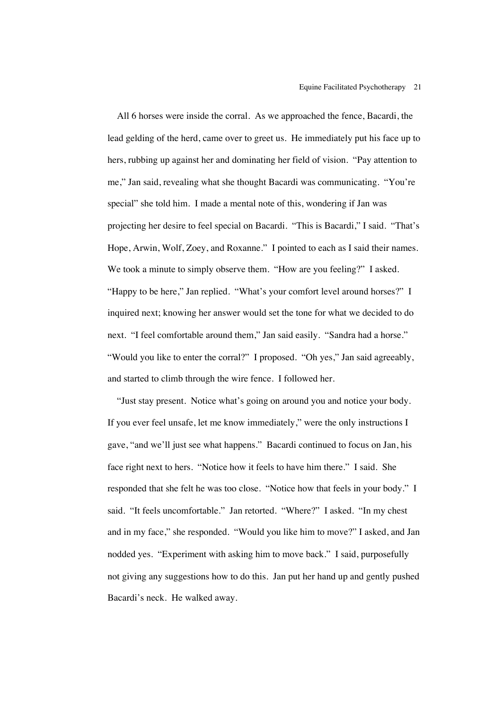All 6 horses were inside the corral. As we approached the fence, Bacardi, the lead gelding of the herd, came over to greet us. He immediately put his face up to hers, rubbing up against her and dominating her field of vision. "Pay attention to me," Jan said, revealing what she thought Bacardi was communicating. "You're special" she told him. I made a mental note of this, wondering if Jan was projecting her desire to feel special on Bacardi. "This is Bacardi," I said. "That's Hope, Arwin, Wolf, Zoey, and Roxanne." I pointed to each as I said their names. We took a minute to simply observe them. "How are you feeling?" I asked. "Happy to be here," Jan replied. "What's your comfort level around horses?" I inquired next; knowing her answer would set the tone for what we decided to do next. "I feel comfortable around them," Jan said easily. "Sandra had a horse." "Would you like to enter the corral?" I proposed. "Oh yes," Jan said agreeably, and started to climb through the wire fence. I followed her.

 "Just stay present. Notice what's going on around you and notice your body. If you ever feel unsafe, let me know immediately," were the only instructions I gave, "and we'll just see what happens." Bacardi continued to focus on Jan, his face right next to hers. "Notice how it feels to have him there." I said. She responded that she felt he was too close. "Notice how that feels in your body." I said. "It feels uncomfortable." Jan retorted. "Where?" I asked. "In my chest and in my face," she responded. "Would you like him to move?" I asked, and Jan nodded yes. "Experiment with asking him to move back." I said, purposefully not giving any suggestions how to do this. Jan put her hand up and gently pushed Bacardi's neck. He walked away.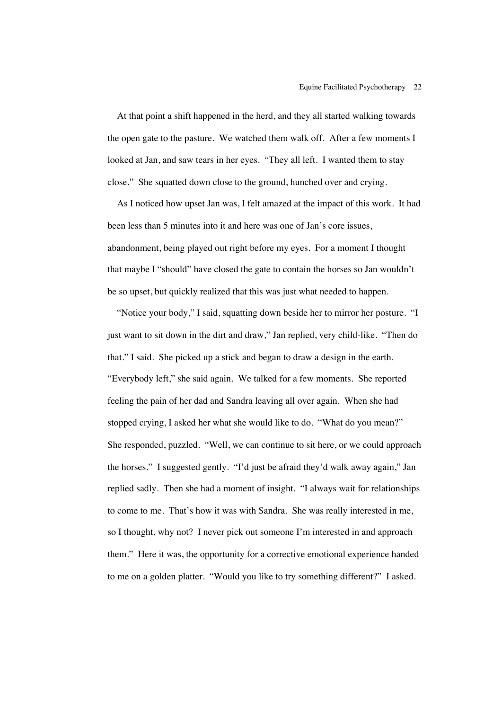At that point a shift happened in the herd, and they all started walking towards the open gate to the pasture. We watched them walk off. After a few moments I looked at Jan, and saw tears in her eyes. "They all left. I wanted them to stay close." She squatted down close to the ground, hunched over and crying.

 As I noticed how upset Jan was, I felt amazed at the impact of this work. It had been less than 5 minutes into it and here was one of Jan's core issues, abandonment, being played out right before my eyes. For a moment I thought that maybe I "should" have closed the gate to contain the horses so Jan wouldn't be so upset, but quickly realized that this was just what needed to happen.

 "Notice your body," I said, squatting down beside her to mirror her posture. "I just want to sit down in the dirt and draw," Jan replied, very child-like. "Then do that." I said. She picked up a stick and began to draw a design in the earth. "Everybody left," she said again. We talked for a few moments. She reported feeling the pain of her dad and Sandra leaving all over again. When she had stopped crying, I asked her what she would like to do. "What do you mean?" She responded, puzzled. "Well, we can continue to sit here, or we could approach the horses." I suggested gently. "I'd just be afraid they'd walk away again," Jan replied sadly. Then she had a moment of insight. "I always wait for relationships to come to me. That's how it was with Sandra. She was really interested in me, so I thought, why not? I never pick out someone I'm interested in and approach them." Here it was, the opportunity for a corrective emotional experience handed to me on a golden platter. "Would you like to try something different?" I asked.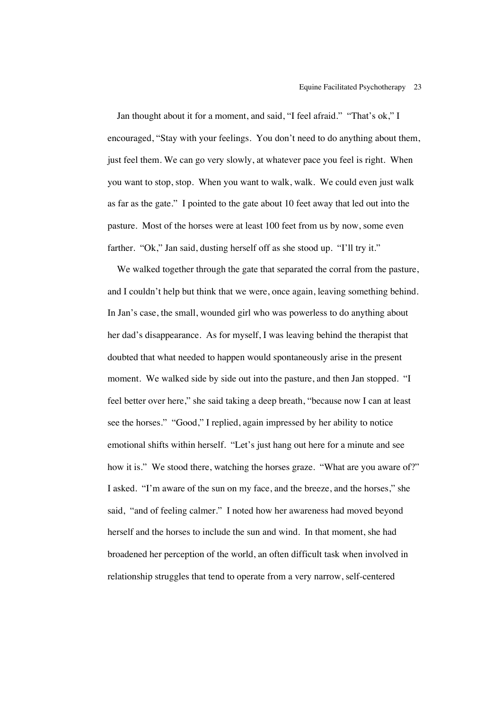Jan thought about it for a moment, and said, "I feel afraid." "That's ok," I encouraged, "Stay with your feelings. You don't need to do anything about them, just feel them. We can go very slowly, at whatever pace you feel is right. When you want to stop, stop. When you want to walk, walk. We could even just walk as far as the gate." I pointed to the gate about 10 feet away that led out into the pasture. Most of the horses were at least 100 feet from us by now, some even farther. "Ok," Jan said, dusting herself off as she stood up. "I'll try it."

 We walked together through the gate that separated the corral from the pasture, and I couldn't help but think that we were, once again, leaving something behind. In Jan's case, the small, wounded girl who was powerless to do anything about her dad's disappearance. As for myself, I was leaving behind the therapist that doubted that what needed to happen would spontaneously arise in the present moment. We walked side by side out into the pasture, and then Jan stopped. "I feel better over here," she said taking a deep breath, "because now I can at least see the horses." "Good," I replied, again impressed by her ability to notice emotional shifts within herself. "Let's just hang out here for a minute and see how it is." We stood there, watching the horses graze. "What are you aware of?" I asked. "I'm aware of the sun on my face, and the breeze, and the horses," she said, "and of feeling calmer." I noted how her awareness had moved beyond herself and the horses to include the sun and wind. In that moment, she had broadened her perception of the world, an often difficult task when involved in relationship struggles that tend to operate from a very narrow, self-centered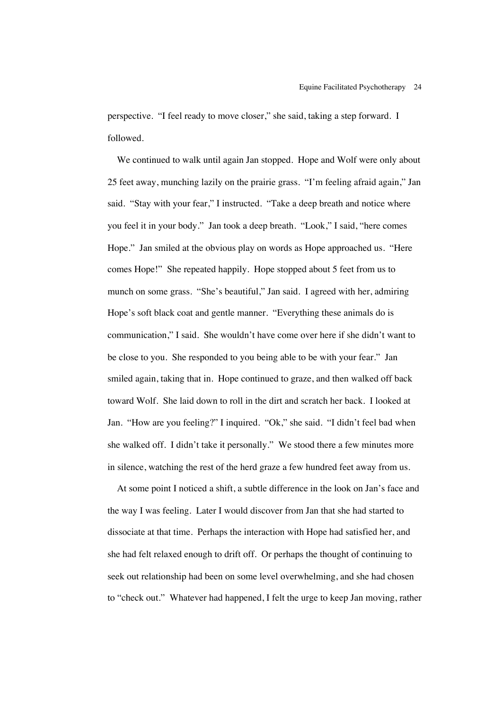perspective. "I feel ready to move closer," she said, taking a step forward. I followed.

 We continued to walk until again Jan stopped. Hope and Wolf were only about 25 feet away, munching lazily on the prairie grass. "I'm feeling afraid again," Jan said. "Stay with your fear," I instructed. "Take a deep breath and notice where you feel it in your body." Jan took a deep breath. "Look," I said, "here comes Hope." Jan smiled at the obvious play on words as Hope approached us. "Here comes Hope!" She repeated happily. Hope stopped about 5 feet from us to munch on some grass. "She's beautiful," Jan said. I agreed with her, admiring Hope's soft black coat and gentle manner. "Everything these animals do is communication," I said. She wouldn't have come over here if she didn't want to be close to you. She responded to you being able to be with your fear." Jan smiled again, taking that in. Hope continued to graze, and then walked off back toward Wolf. She laid down to roll in the dirt and scratch her back. I looked at Jan. "How are you feeling?" I inquired. "Ok," she said. "I didn't feel bad when she walked off. I didn't take it personally." We stood there a few minutes more in silence, watching the rest of the herd graze a few hundred feet away from us.

 At some point I noticed a shift, a subtle difference in the look on Jan's face and the way I was feeling. Later I would discover from Jan that she had started to dissociate at that time. Perhaps the interaction with Hope had satisfied her, and she had felt relaxed enough to drift off. Or perhaps the thought of continuing to seek out relationship had been on some level overwhelming, and she had chosen to "check out." Whatever had happened, I felt the urge to keep Jan moving, rather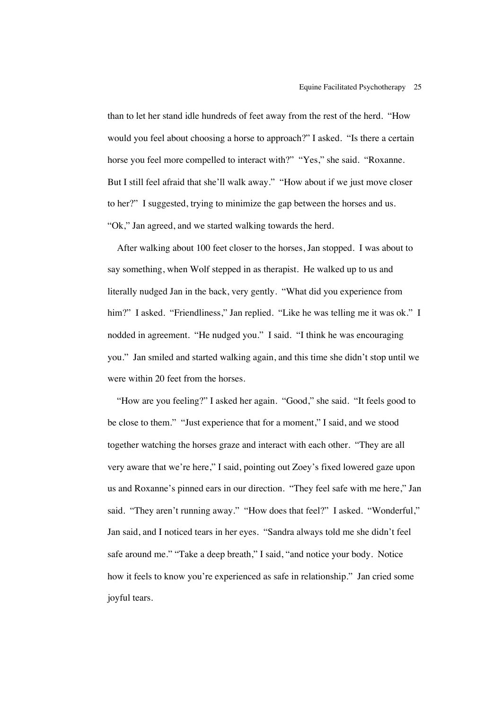than to let her stand idle hundreds of feet away from the rest of the herd. "How would you feel about choosing a horse to approach?" I asked. "Is there a certain horse you feel more compelled to interact with?" "Yes," she said. "Roxanne. But I still feel afraid that she'll walk away." "How about if we just move closer to her?" I suggested, trying to minimize the gap between the horses and us. "Ok," Jan agreed, and we started walking towards the herd.

 After walking about 100 feet closer to the horses, Jan stopped. I was about to say something, when Wolf stepped in as therapist. He walked up to us and literally nudged Jan in the back, very gently. "What did you experience from him?" I asked. "Friendliness," Jan replied. "Like he was telling me it was ok." I nodded in agreement. "He nudged you." I said. "I think he was encouraging you." Jan smiled and started walking again, and this time she didn't stop until we were within 20 feet from the horses.

 "How are you feeling?" I asked her again. "Good," she said. "It feels good to be close to them." "Just experience that for a moment," I said, and we stood together watching the horses graze and interact with each other. "They are all very aware that we're here," I said, pointing out Zoey's fixed lowered gaze upon us and Roxanne's pinned ears in our direction. "They feel safe with me here," Jan said. "They aren't running away." "How does that feel?" I asked. "Wonderful," Jan said, and I noticed tears in her eyes. "Sandra always told me she didn't feel safe around me." "Take a deep breath," I said, "and notice your body. Notice how it feels to know you're experienced as safe in relationship." Jan cried some joyful tears.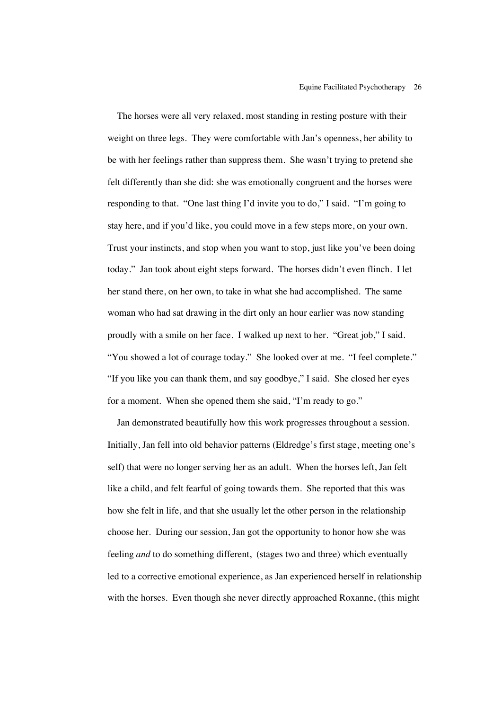The horses were all very relaxed, most standing in resting posture with their weight on three legs. They were comfortable with Jan's openness, her ability to be with her feelings rather than suppress them. She wasn't trying to pretend she felt differently than she did: she was emotionally congruent and the horses were responding to that. "One last thing I'd invite you to do," I said. "I'm going to stay here, and if you'd like, you could move in a few steps more, on your own. Trust your instincts, and stop when you want to stop, just like you've been doing today." Jan took about eight steps forward. The horses didn't even flinch. I let her stand there, on her own, to take in what she had accomplished. The same woman who had sat drawing in the dirt only an hour earlier was now standing proudly with a smile on her face. I walked up next to her. "Great job," I said. "You showed a lot of courage today." She looked over at me. "I feel complete." "If you like you can thank them, and say goodbye," I said. She closed her eyes for a moment. When she opened them she said, "I'm ready to go."

 Jan demonstrated beautifully how this work progresses throughout a session. Initially, Jan fell into old behavior patterns (Eldredge's first stage, meeting one's self) that were no longer serving her as an adult. When the horses left, Jan felt like a child, and felt fearful of going towards them. She reported that this was how she felt in life, and that she usually let the other person in the relationship choose her. During our session, Jan got the opportunity to honor how she was feeling *and* to do something different, (stages two and three) which eventually led to a corrective emotional experience, as Jan experienced herself in relationship with the horses. Even though she never directly approached Roxanne, (this might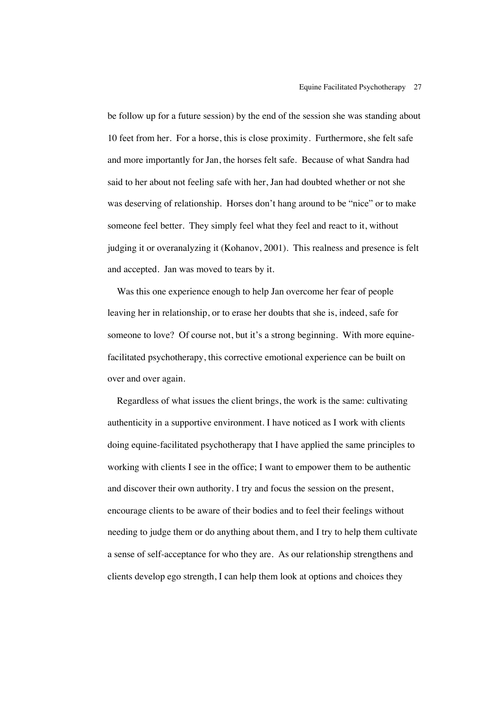be follow up for a future session) by the end of the session she was standing about 10 feet from her. For a horse, this is close proximity. Furthermore, she felt safe and more importantly for Jan, the horses felt safe. Because of what Sandra had said to her about not feeling safe with her, Jan had doubted whether or not she was deserving of relationship. Horses don't hang around to be "nice" or to make someone feel better. They simply feel what they feel and react to it, without judging it or overanalyzing it (Kohanov, 2001). This realness and presence is felt and accepted. Jan was moved to tears by it.

 Was this one experience enough to help Jan overcome her fear of people leaving her in relationship, or to erase her doubts that she is, indeed, safe for someone to love? Of course not, but it's a strong beginning. With more equinefacilitated psychotherapy, this corrective emotional experience can be built on over and over again.

 Regardless of what issues the client brings, the work is the same: cultivating authenticity in a supportive environment. I have noticed as I work with clients doing equine-facilitated psychotherapy that I have applied the same principles to working with clients I see in the office; I want to empower them to be authentic and discover their own authority. I try and focus the session on the present, encourage clients to be aware of their bodies and to feel their feelings without needing to judge them or do anything about them, and I try to help them cultivate a sense of self-acceptance for who they are. As our relationship strengthens and clients develop ego strength, I can help them look at options and choices they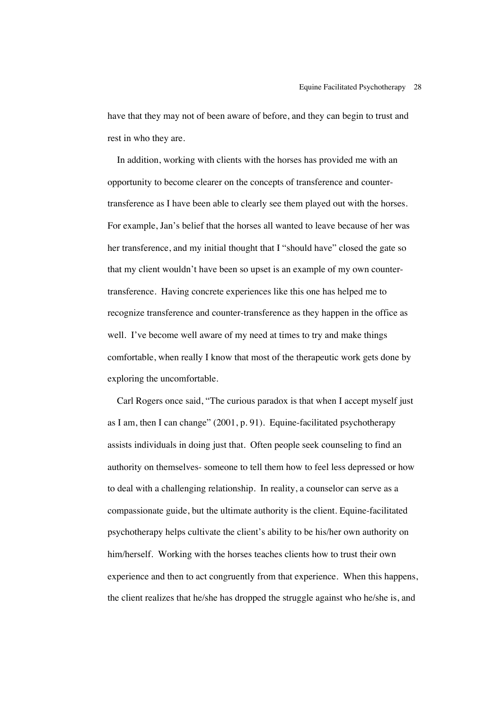have that they may not of been aware of before, and they can begin to trust and rest in who they are.

 In addition, working with clients with the horses has provided me with an opportunity to become clearer on the concepts of transference and countertransference as I have been able to clearly see them played out with the horses. For example, Jan's belief that the horses all wanted to leave because of her was her transference, and my initial thought that I "should have" closed the gate so that my client wouldn't have been so upset is an example of my own countertransference. Having concrete experiences like this one has helped me to recognize transference and counter-transference as they happen in the office as well. I've become well aware of my need at times to try and make things comfortable, when really I know that most of the therapeutic work gets done by exploring the uncomfortable.

 Carl Rogers once said, "The curious paradox is that when I accept myself just as I am, then I can change" (2001, p. 91). Equine-facilitated psychotherapy assists individuals in doing just that. Often people seek counseling to find an authority on themselves- someone to tell them how to feel less depressed or how to deal with a challenging relationship. In reality, a counselor can serve as a compassionate guide, but the ultimate authority is the client. Equine-facilitated psychotherapy helps cultivate the client's ability to be his/her own authority on him/herself. Working with the horses teaches clients how to trust their own experience and then to act congruently from that experience. When this happens, the client realizes that he/she has dropped the struggle against who he/she is, and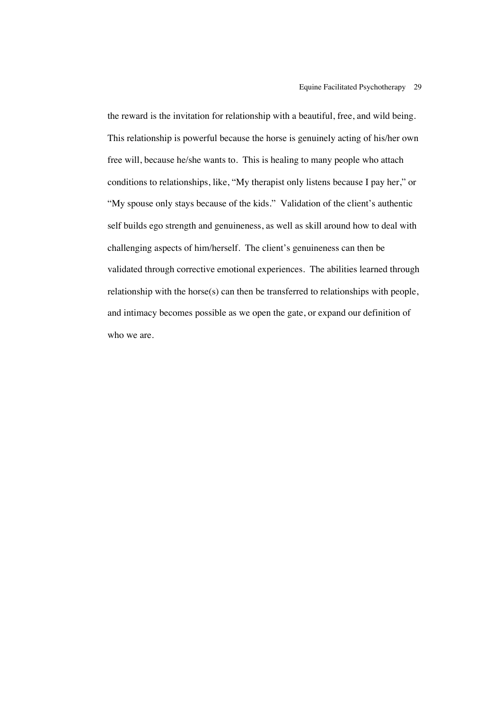the reward is the invitation for relationship with a beautiful, free, and wild being. This relationship is powerful because the horse is genuinely acting of his/her own free will, because he/she wants to. This is healing to many people who attach conditions to relationships, like, "My therapist only listens because I pay her," or "My spouse only stays because of the kids." Validation of the client's authentic self builds ego strength and genuineness, as well as skill around how to deal with challenging aspects of him/herself. The client's genuineness can then be validated through corrective emotional experiences. The abilities learned through relationship with the horse(s) can then be transferred to relationships with people, and intimacy becomes possible as we open the gate, or expand our definition of who we are.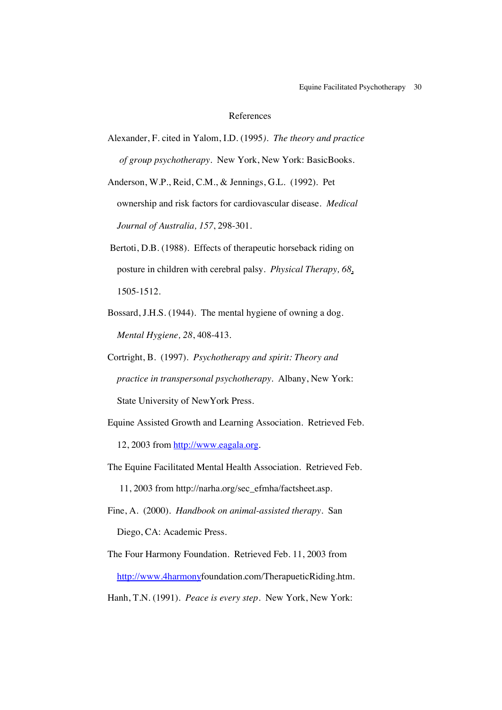### References

Alexander, F. cited in Yalom, I.D. (1995*). The theory and practice of group psychotherapy*. New York, New York: BasicBooks.

Anderson, W.P., Reid, C.M., & Jennings, G.L. (1992). Pet ownership and risk factors for cardiovascular disease. *Medical Journal of Australia, 157*, 298-301.

- Bertoti, D.B. (1988). Effects of therapeutic horseback riding on posture in children with cerebral palsy. *Physical Therapy, 68*, 1505-1512.
- Bossard, J.H.S. (1944). The mental hygiene of owning a dog. *Mental Hygiene, 28*, 408-413.
- Cortright, B. (1997). *Psychotherapy and spirit: Theory and practice in transpersonal psychotherapy*. Albany, New York: **State University of NewYork Press.**
- Equine Assisted Growth and Learning Association. Retrieved Feb. 12, 2003 from http://www.eagala.org.
- The Equine Facilitated Mental Health Association. Retrieved Feb. 11, 2003 from http://narha.org/sec\_efmha/factsheet.asp.
- Fine, A. (2000). *Handbook on animal-assisted therapy*. San Diego, CA: Academic Press.
- The Four Harmony Foundation. Retrieved Feb. 11, 2003 from http://www.4harmonyfoundation.com/TherapueticRiding.htm.
- Hanh, T.N. (1991). *Peace is every step*. New York, New York: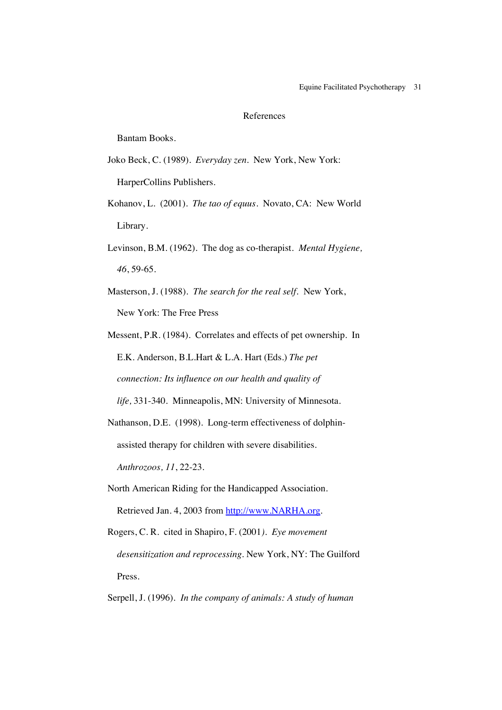#### References

Bantam Books.

- Joko Beck, C. (1989). *Everyday zen*. New York, New York: HarperCollins Publishers.
- Kohanov, L. (2001). *The tao of equus*. Novato, CA: New World Library.
- Levinson, B.M. (1962). The dog as co-therapist. *Mental Hygiene, 46*, 59-65.
- Masterson, J. (1988). *The search for the real self.* New York, New York: The Free Press
- Messent, P.R. (1984). Correlates and effects of pet ownership. In E.K. Anderson, B.L.Hart & L.A. Hart (Eds.) *The pet connection: Its influence on our health and quality of*

 *life,* 331-340. Minneapolis, MN: University of Minnesota.

- Nathanson, D.E. (1998). Long-term effectiveness of dolphin assisted therapy for children with severe disabilities. *Anthrozoos, 11*, 22-23.
- North American Riding for the Handicapped Association. Retrieved Jan. 4, 2003 from http://www.NARHA.org.
- Rogers, C. R. cited in Shapiro, F. (2001*). Eye movement desensitization and reprocessing*. New York, NY: The Guilford Press.

## Serpell, J. (1996). *In the company of animals: A study of human*